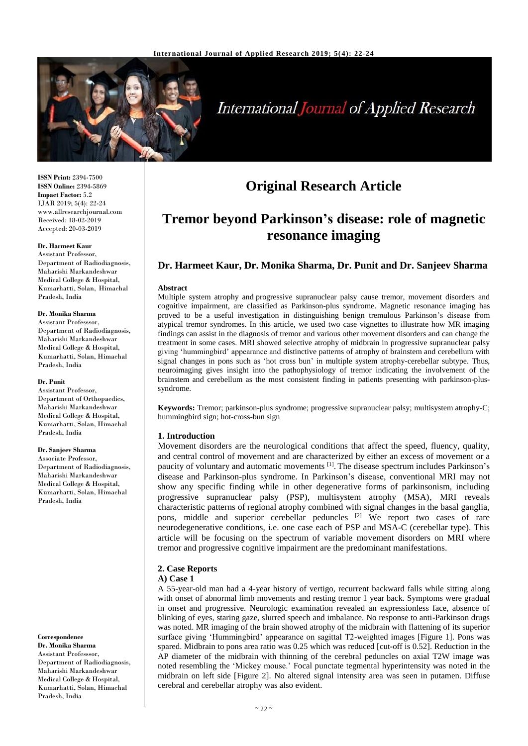

# International Journal of Applied Research

**ISSN Print:** 2394-7500 **ISSN Online:** 2394-5869 **Impact Factor:** 5.2 IJAR 2019; 5(4): 22-24 www.allresearchjournal.com Received: 18-02-2019 Accepted: 20-03-2019

#### **Dr. Harmeet Kaur**

Assistant Professor, Department of Radiodiagnosis, Maharishi Markandeshwar Medical College & Hospital, Kumarhatti, Solan, Himachal Pradesh, India

## **Dr. Monika Sharma**

Assistant Professsor, Department of Radiodiagnosis, Maharishi Markandeshwar Medical College & Hospital, Kumarhatti, Solan, Himachal Pradesh, India

#### **Dr. Punit**

Assistant Professor, Department of Orthopaedics, Maharishi Markandeshwar Medical College & Hospital, Kumarhatti, Solan, Himachal Pradesh, India

## **Dr. Sanjeev Sharma**

Associate Professor, Department of Radiodiagnosis, Maharishi Markandeshwar Medical College & Hospital, Kumarhatti, Solan, Himachal Pradesh, India

#### **Correspondence**

**Dr. Monika Sharma** Assistant Professsor, Department of Radiodiagnosis, Maharishi Markandeshwar Medical College & Hospital, Kumarhatti, Solan, Himachal Pradesh, India

## **Original Research Article**

## **Tremor beyond Parkinson's disease: role of magnetic resonance imaging**

## **Dr. Harmeet Kaur, Dr. Monika Sharma, Dr. Punit and Dr. Sanjeev Sharma**

#### **Abstract**

Multiple system atrophy and progressive supranuclear palsy cause tremor, movement disorders and cognitive impairment, are classified as Parkinson-plus syndrome. Magnetic resonance imaging has proved to be a useful investigation in distinguishing benign tremulous Parkinson's disease from atypical tremor syndromes. In this article, we used two case vignettes to illustrate how MR imaging findings can assist in the diagnosis of tremor and various other movement disorders and can change the treatment in some cases. MRI showed selective atrophy of midbrain in progressive supranuclear palsy giving 'hummingbird' appearance and distinctive patterns of atrophy of brainstem and cerebellum with signal changes in pons such as 'hot cross bun' in multiple system atrophy-cerebellar subtype. Thus, neuroimaging gives insight into the pathophysiology of tremor indicating the involvement of the brainstem and cerebellum as the most consistent finding in patients presenting with parkinson-plussyndrome.

**Keywords:** Tremor; parkinson-plus syndrome; progressive supranuclear palsy; multisystem atrophy-C; hummingbird sign; hot-cross-bun sign

### **1. Introduction**

Movement disorders are the neurological conditions that affect the speed, fluency, quality, and central control of movement and are characterized by either an excess of movement or a paucity of voluntary and automatic movements <sup>[1]</sup>. The disease spectrum includes Parkinson's disease and Parkinson-plus syndrome. In Parkinson's disease, conventional MRI may not show any specific finding while in other degenerative forms of parkinsonism, including progressive supranuclear palsy (PSP), multisystem atrophy (MSA), MRI reveals characteristic patterns of regional atrophy combined with signal changes in the basal ganglia, pons, middle and superior cerebellar peduncles <sup>[2]</sup> We report two cases of rare neurodegenerative conditions, i.e. one case each of PSP and MSA-C (cerebellar type). This article will be focusing on the spectrum of variable movement disorders on MRI where tremor and progressive cognitive impairment are the predominant manifestations.

### **2. Case Reports**

#### **A) Case 1**

A 55-year-old man had a 4-year history of vertigo, recurrent backward falls while sitting along with onset of abnormal limb movements and resting tremor 1 year back. Symptoms were gradual in onset and progressive. Neurologic examination revealed an expressionless face, absence of blinking of eyes, staring gaze, slurred speech and imbalance. No response to anti-Parkinson drugs was noted. MR imaging of the brain showed atrophy of the midbrain with flattening of its superior surface giving 'Hummingbird' appearance on sagittal T2-weighted images [Figure 1]. Pons was spared. Midbrain to pons area ratio was 0.25 which was reduced [cut-off is 0.52]. Reduction in the AP diameter of the midbrain with thinning of the cerebral peduncles on axial T2W image was noted resembling the 'Mickey mouse.' Focal punctate tegmental hyperintensity was noted in the midbrain on left side [Figure 2]. No altered signal intensity area was seen in putamen. Diffuse cerebral and cerebellar atrophy was also evident.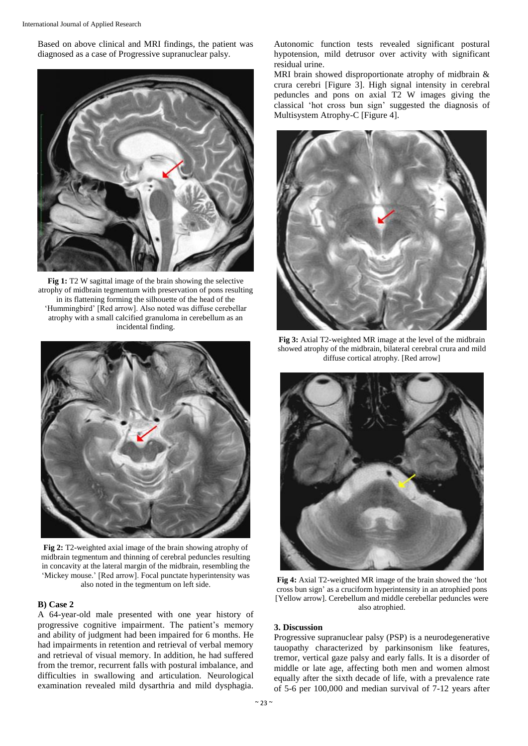Based on above clinical and MRI findings, the patient was diagnosed as a case of Progressive supranuclear palsy.



**Fig 1:** T2 W sagittal image of the brain showing the selective atrophy of midbrain tegmentum with preservation of pons resulting in its flattening forming the silhouette of the head of the 'Hummingbird' [Red arrow]. Also noted was diffuse cerebellar atrophy with a small calcified granuloma in cerebellum as an incidental finding.



**Fig 2:** T2-weighted axial image of the brain showing atrophy of midbrain tegmentum and thinning of cerebral peduncles resulting in concavity at the lateral margin of the midbrain, resembling the 'Mickey mouse.' [Red arrow]. Focal punctate hyperintensity was also noted in the tegmentum on left side.

#### **B) Case 2**

A 64-year-old male presented with one year history of progressive cognitive impairment. The patient's memory and ability of judgment had been impaired for 6 months. He had impairments in retention and retrieval of verbal memory and retrieval of visual memory. In addition, he had suffered from the tremor, recurrent falls with postural imbalance, and difficulties in swallowing and articulation. Neurological examination revealed mild dysarthria and mild dysphagia.

Autonomic function tests revealed significant postural hypotension, mild detrusor over activity with significant residual urine.

MRI brain showed disproportionate atrophy of midbrain & crura cerebri [Figure 3]. High signal intensity in cerebral peduncles and pons on axial T2 W images giving the classical 'hot cross bun sign' suggested the diagnosis of Multisystem Atrophy-C [Figure 4].



**Fig 3:** Axial T2-weighted MR image at the level of the midbrain showed atrophy of the midbrain, bilateral cerebral crura and mild diffuse cortical atrophy. [Red arrow]



**Fig 4:** Axial T2-weighted MR image of the brain showed the 'hot cross bun sign' as a cruciform hyperintensity in an atrophied pons [Yellow arrow]. Cerebellum and middle cerebellar peduncles were also atrophied.

## **3. Discussion**

Progressive supranuclear palsy (PSP) is a neurodegenerative tauopathy characterized by parkinsonism like features, tremor, vertical gaze palsy and early falls. It is a disorder of middle or late age, affecting both men and women almost equally after the sixth decade of life, with a prevalence rate of 5-6 per 100,000 and median survival of 7-12 years after